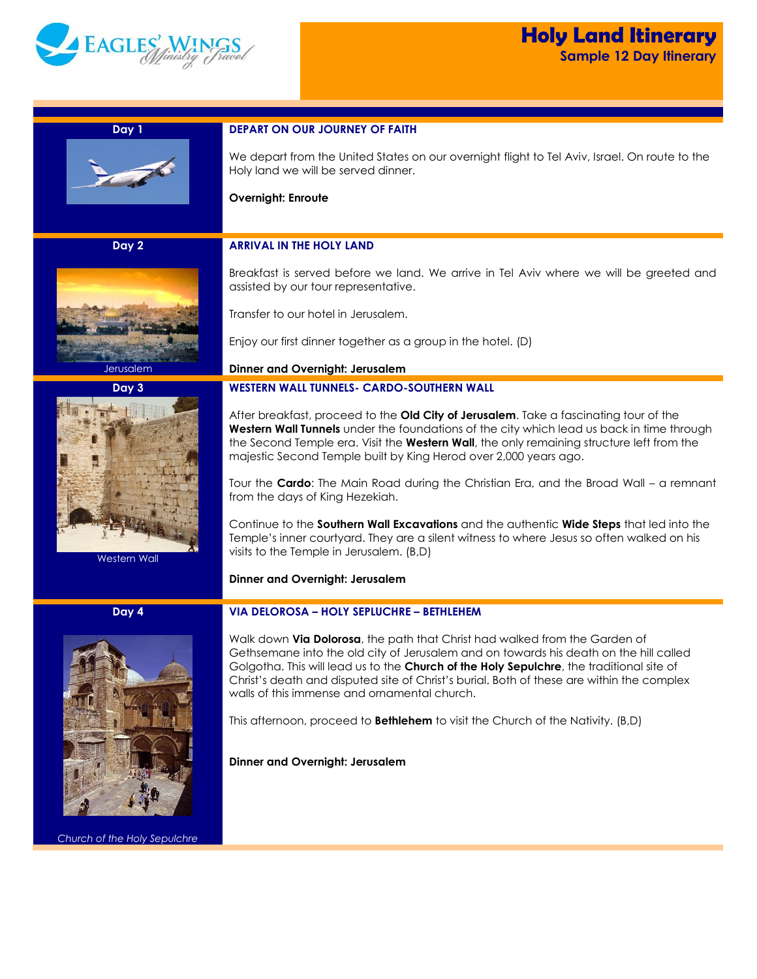

| Day 1                        | <b>DEPART ON OUR JOURNEY OF FAITH</b>                                                                                                                                                                                                                                                                                                                                                                                                                                            |  |
|------------------------------|----------------------------------------------------------------------------------------------------------------------------------------------------------------------------------------------------------------------------------------------------------------------------------------------------------------------------------------------------------------------------------------------------------------------------------------------------------------------------------|--|
|                              | We depart from the United States on our overnight flight to Tel Aviv, Israel. On route to the<br>Holy land we will be served dinner.                                                                                                                                                                                                                                                                                                                                             |  |
|                              | <b>Overnight: Enroute</b>                                                                                                                                                                                                                                                                                                                                                                                                                                                        |  |
|                              |                                                                                                                                                                                                                                                                                                                                                                                                                                                                                  |  |
| Day 2                        | <b>ARRIVAL IN THE HOLY LAND</b>                                                                                                                                                                                                                                                                                                                                                                                                                                                  |  |
|                              | Breakfast is served before we land. We arrive in Tel Aviv where we will be greeted and<br>assisted by our tour representative.                                                                                                                                                                                                                                                                                                                                                   |  |
|                              | Transfer to our hotel in Jerusalem.                                                                                                                                                                                                                                                                                                                                                                                                                                              |  |
|                              | Enjoy our first dinner together as a group in the hotel. (D)                                                                                                                                                                                                                                                                                                                                                                                                                     |  |
| Jerusalem                    | <b>Dinner and Overnight: Jerusalem</b>                                                                                                                                                                                                                                                                                                                                                                                                                                           |  |
| Day 3                        | <b>WESTERN WALL TUNNELS- CARDO-SOUTHERN WALL</b>                                                                                                                                                                                                                                                                                                                                                                                                                                 |  |
|                              | After breakfast, proceed to the Old City of Jerusalem. Take a fascinating tour of the<br>Western Wall Tunnels under the foundations of the city which lead us back in time through<br>the Second Temple era. Visit the Western Wall, the only remaining structure left from the<br>majestic Second Temple built by King Herod over 2,000 years ago.<br>Tour the Cardo: The Main Road during the Christian Era, and the Broad Wall - a remnant<br>from the days of King Hezekiah. |  |
|                              | Continue to the Southern Wall Excavations and the authentic Wide Steps that led into the<br>Temple's inner courtyard. They are a silent witness to where Jesus so often walked on his<br>visits to the Temple in Jerusalem. (B,D)                                                                                                                                                                                                                                                |  |
| Western Wall                 |                                                                                                                                                                                                                                                                                                                                                                                                                                                                                  |  |
|                              | <b>Dinner and Overnight: Jerusalem</b>                                                                                                                                                                                                                                                                                                                                                                                                                                           |  |
| Day 4                        | VIA DELOROSA - HOLY SEPLUCHRE - BETHLEHEM                                                                                                                                                                                                                                                                                                                                                                                                                                        |  |
|                              | Walk down Via Dolorosa, the path that Christ had walked from the Garden of<br>Gethsemane into the old city of Jerusalem and on towards his death on the hill called<br>Golgotha. This will lead us to the Church of the Holy Sepulchre, the traditional site of<br>Christ's death and disputed site of Christ's burial. Both of these are within the complex<br>walls of this immense and ornamental church.                                                                     |  |
|                              | This afternoon, proceed to <b>Bethlehem</b> to visit the Church of the Nativity. (B,D)                                                                                                                                                                                                                                                                                                                                                                                           |  |
|                              | Dinner and Overnight: Jerusalem                                                                                                                                                                                                                                                                                                                                                                                                                                                  |  |
| Church of the Holy Sepulchre |                                                                                                                                                                                                                                                                                                                                                                                                                                                                                  |  |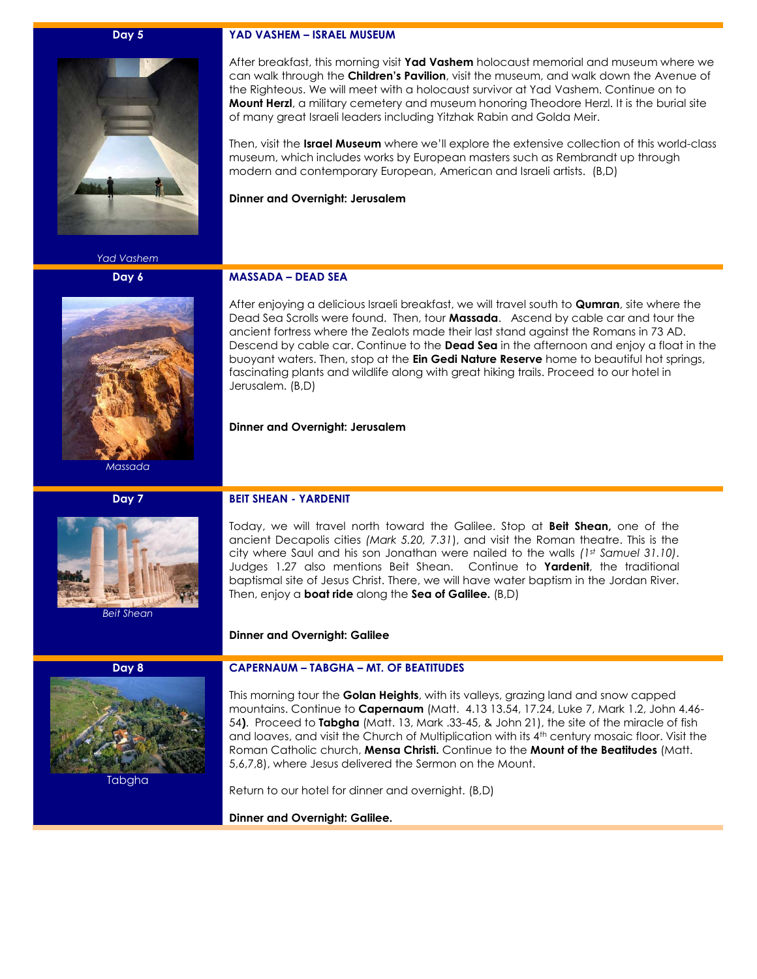#### **Day 5**

*Yad Vashem*

**Day 6**



*Massada*

### **Day 7**



*Beit Shean*

**Day 8**

Tabgha

#### **YAD VASHEM – ISRAEL MUSEUM**

After breakfast, this morning visit **Yad Vashem** holocaust memorial and museum where we can walk through the **Children's Pavilion**, visit the museum, and walk down the Avenue of the Righteous. We will meet with a holocaust survivor at Yad Vashem. Continue on to **Mount Herzl**, a military cemetery and museum honoring Theodore Herzl. It is the burial site of many great Israeli leaders including Yitzhak Rabin and Golda Meir.

Then, visit the **Israel Museum** where we'll explore the extensive collection of this world-class museum, which includes works by European masters such as Rembrandt up through modern and contemporary European, American and Israeli artists. (B,D)

**Dinner and Overnight: Jerusalem**

## **MASSADA – DEAD SEA**

After enjoying a delicious Israeli breakfast, we will travel south to **Qumran**, site where the Dead Sea Scrolls were found. Then, tour **Massada**. Ascend by cable car and tour the ancient fortress where the Zealots made their last stand against the Romans in 73 AD. Descend by cable car. Continue to the **Dead Sea** in the afternoon and enjoy a float in the buoyant waters. Then, stop at the **Ein Gedi Nature Reserve** home to beautiful hot springs, fascinating plants and wildlife along with great hiking trails. Proceed to our hotel in Jerusalem. (B,D)

### **Dinner and Overnight: Jerusalem**

### **BEIT SHEAN - YARDENIT**

Today, we will travel north toward the Galilee. Stop at **Beit Shean,** one of the ancient Decapolis cities *(Mark 5.20, 7.31*), and visit the Roman theatre. This is the city where Saul and his son Jonathan were nailed to the walls *(1st Samuel 31.10)*. Judges 1.27 also mentions Beit Shean. Continue to **Yardenit**, the traditional baptismal site of Jesus Christ. There, we will have water baptism in the Jordan River. Then, enjoy a **boat ride** along the **Sea of Galilee.** (B,D)

### **Dinner and Overnight: Galilee**

# **CAPERNAUM – TABGHA – MT. OF BEATITUDES**

This morning tour the **Golan Heights**, with its valleys, grazing land and snow capped mountains. Continue to **Capernaum** (Matt. 4.13 13.54, 17.24, Luke 7, Mark 1.2, John 4.46- 54**)**. Proceed to **Tabgha** (Matt. 13, Mark .33-45, & John 21), the site of the miracle of fish and loaves, and visit the Church of Multiplication with its 4<sup>th</sup> century mosaic floor. Visit the Roman Catholic church, **Mensa Christi.** Continue to the **Mount of the Beatitudes** (Matt. 5,6,7,8), where Jesus delivered the Sermon on the Mount.

Return to our hotel for dinner and overnight. (B,D)

**Dinner and Overnight: Galilee.**